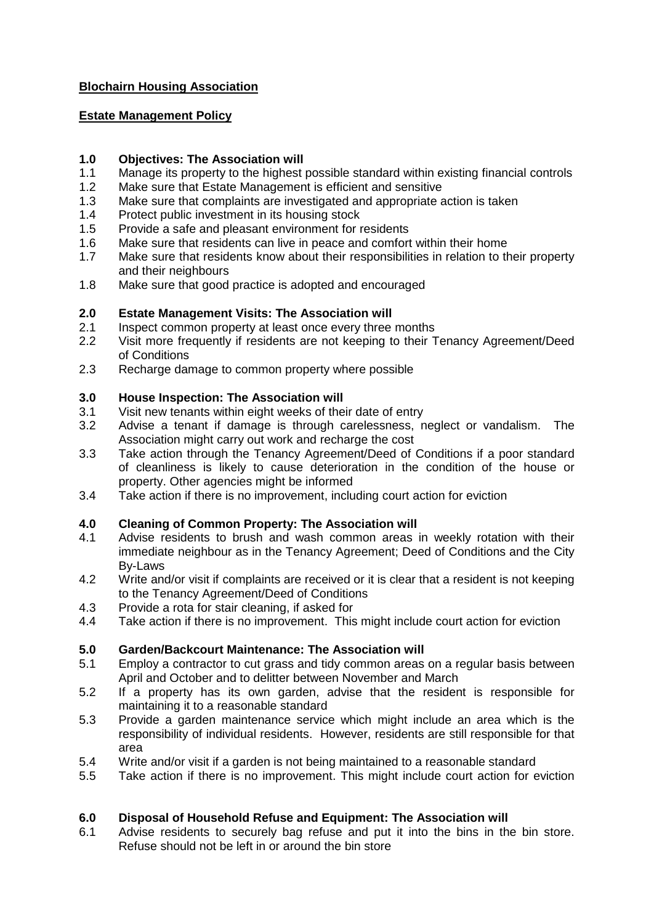## **Blochairn Housing Association**

### **Estate Management Policy**

### **1.0 Objectives: The Association will**

- 1.1 Manage its property to the highest possible standard within existing financial controls
- 1.2 Make sure that Estate Management is efficient and sensitive
- 1.3 Make sure that complaints are investigated and appropriate action is taken
- 1.4 Protect public investment in its housing stock
- 1.5 Provide a safe and pleasant environment for residents
- 1.6 Make sure that residents can live in peace and comfort within their home
- 1.7 Make sure that residents know about their responsibilities in relation to their property and their neighbours
- 1.8 Make sure that good practice is adopted and encouraged

# **2.0 Estate Management Visits: The Association will**

- 2.1 Inspect common property at least once every three months
- 2.2 Visit more frequently if residents are not keeping to their Tenancy Agreement/Deed of Conditions
- 2.3 Recharge damage to common property where possible

### **3.0 House Inspection: The Association will**

- 3.1 Visit new tenants within eight weeks of their date of entry
- 3.2 Advise a tenant if damage is through carelessness, neglect or vandalism. The Association might carry out work and recharge the cost
- 3.3 Take action through the Tenancy Agreement/Deed of Conditions if a poor standard of cleanliness is likely to cause deterioration in the condition of the house or property. Other agencies might be informed
- 3.4 Take action if there is no improvement, including court action for eviction

# **4.0 Cleaning of Common Property: The Association will**

- 4.1 Advise residents to brush and wash common areas in weekly rotation with their immediate neighbour as in the Tenancy Agreement; Deed of Conditions and the City By-Laws
- 4.2 Write and/or visit if complaints are received or it is clear that a resident is not keeping to the Tenancy Agreement/Deed of Conditions
- 4.3 Provide a rota for stair cleaning, if asked for
- 4.4 Take action if there is no improvement. This might include court action for eviction

# **5.0 Garden/Backcourt Maintenance: The Association will**

- 5.1 Employ a contractor to cut grass and tidy common areas on a regular basis between April and October and to delitter between November and March
- 5.2 If a property has its own garden, advise that the resident is responsible for maintaining it to a reasonable standard
- 5.3 Provide a garden maintenance service which might include an area which is the responsibility of individual residents. However, residents are still responsible for that area
- 5.4 Write and/or visit if a garden is not being maintained to a reasonable standard
- 5.5 Take action if there is no improvement. This might include court action for eviction

# **6.0 Disposal of Household Refuse and Equipment: The Association will**

6.1 Advise residents to securely bag refuse and put it into the bins in the bin store. Refuse should not be left in or around the bin store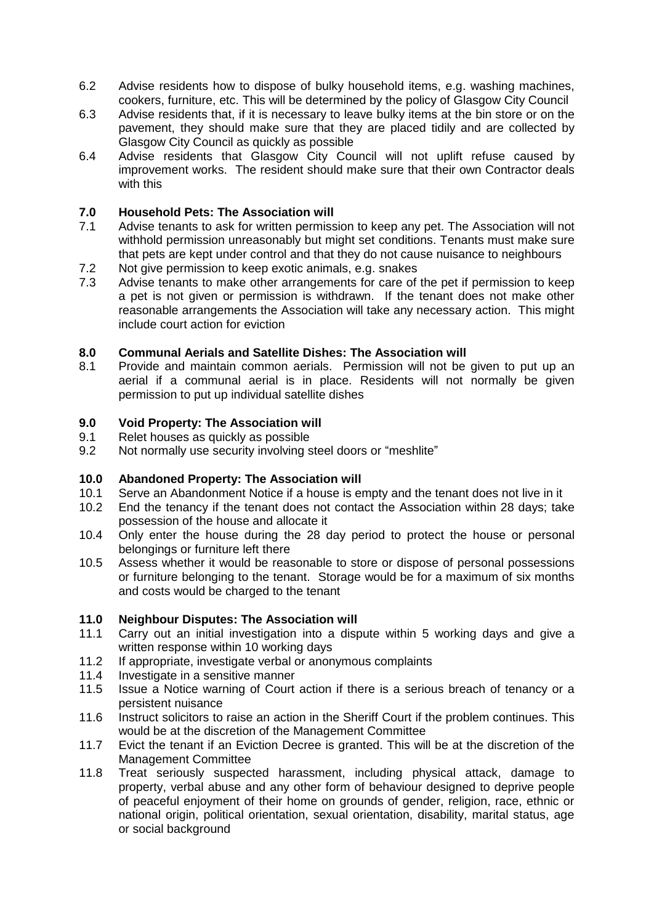- 6.2 Advise residents how to dispose of bulky household items, e.g. washing machines, cookers, furniture, etc. This will be determined by the policy of Glasgow City Council
- 6.3 Advise residents that, if it is necessary to leave bulky items at the bin store or on the pavement, they should make sure that they are placed tidily and are collected by Glasgow City Council as quickly as possible
- 6.4 Advise residents that Glasgow City Council will not uplift refuse caused by improvement works. The resident should make sure that their own Contractor deals with this

# **7.0 Household Pets: The Association will**

- 7.1 Advise tenants to ask for written permission to keep any pet. The Association will not withhold permission unreasonably but might set conditions. Tenants must make sure that pets are kept under control and that they do not cause nuisance to neighbours
- 7.2 Not give permission to keep exotic animals, e.g. snakes<br>7.3 Advise tenants to make other arrangements for care of
- Advise tenants to make other arrangements for care of the pet if permission to keep a pet is not given or permission is withdrawn. If the tenant does not make other reasonable arrangements the Association will take any necessary action. This might include court action for eviction

#### **8.0 Communal Aerials and Satellite Dishes: The Association will**

8.1 Provide and maintain common aerials. Permission will not be given to put up an aerial if a communal aerial is in place. Residents will not normally be given permission to put up individual satellite dishes

#### **9.0 Void Property: The Association will**

- 9.1 Relet houses as quickly as possible
- 9.2 Not normally use security involving steel doors or "meshlite"

#### **10.0 Abandoned Property: The Association will**

- 10.1 Serve an Abandonment Notice if a house is empty and the tenant does not live in it
- 10.2 End the tenancy if the tenant does not contact the Association within 28 days; take possession of the house and allocate it
- 10.4 Only enter the house during the 28 day period to protect the house or personal belongings or furniture left there
- 10.5 Assess whether it would be reasonable to store or dispose of personal possessions or furniture belonging to the tenant. Storage would be for a maximum of six months and costs would be charged to the tenant

### **11.0 Neighbour Disputes: The Association will**

- 11.1 Carry out an initial investigation into a dispute within 5 working days and give a written response within 10 working days
- 11.2 If appropriate, investigate verbal or anonymous complaints
- 11.4 Investigate in a sensitive manner
- 11.5 Issue a Notice warning of Court action if there is a serious breach of tenancy or a persistent nuisance
- 11.6 Instruct solicitors to raise an action in the Sheriff Court if the problem continues. This would be at the discretion of the Management Committee
- 11.7 Evict the tenant if an Eviction Decree is granted. This will be at the discretion of the Management Committee
- 11.8 Treat seriously suspected harassment, including physical attack, damage to property, verbal abuse and any other form of behaviour designed to deprive people of peaceful enjoyment of their home on grounds of gender, religion, race, ethnic or national origin, political orientation, sexual orientation, disability, marital status, age or social background